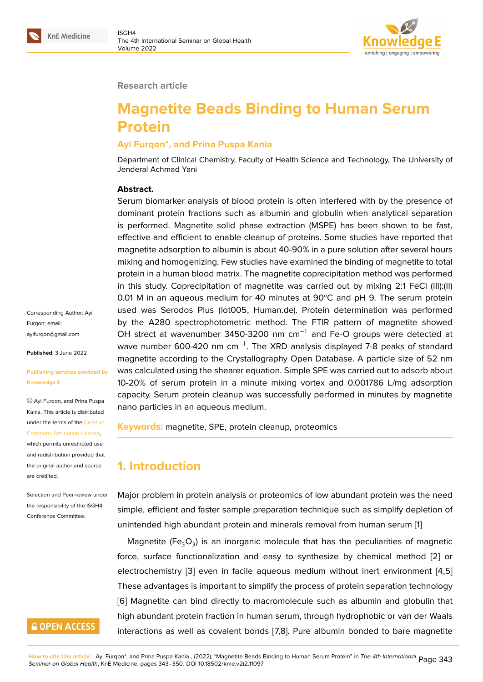

#### **Research article**

# **Magnetite Beads Binding to Human Serum Protein**

#### **Ayi Furqon\*, and Prina Puspa Kania**

Department of Clinical Chemistry, Faculty of Health Science and Technology, The University of Jenderal Achmad Yani

#### **Abstract.**

Serum biomarker analysis of blood protein is often interfered with by the presence of dominant protein fractions such as albumin and globulin when analytical separation is performed. Magnetite solid phase extraction (MSPE) has been shown to be fast, effective and efficient to enable cleanup of proteins. Some studies have reported that magnetite adsorption to albumin is about 40-90% in a pure solution after several hours mixing and homogenizing. Few studies have examined the binding of magnetite to total protein in a human blood matrix. The magnetite coprecipitation method was performed in this study. Coprecipitation of magnetite was carried out by mixing 2:1 FeCl (III):(II) 0.01 M in an aqueous medium for 40 minutes at  $90^{\circ}$ C and pH 9. The serum protein used was Serodos Plus (lot005, Human.de). Protein determination was performed by the A280 spectrophotometric method. The FTIR pattern of magnetite showed OH strect at wavenumber 3450-3200 nm cm−1 and Fe-O groups were detected at wave number 600-420 nm cm<sup>-1</sup>. The XRD analysis displayed 7-8 peaks of standard magnetite according to the Crystallography Open Database. A particle size of 52 nm was calculated using the shearer equation. Simple SPE was carried out to adsorb about 10-20% of serum protein in a minute mixing vortex and 0.001786 L/mg adsorption capacity. Serum protein cleanup was successfully performed in minutes by magnetite nano particles in an aqueous medium.

**Keywords:** magnetite, SPE, protein cleanup, proteomics

# **1. Introduction**

Major problem in protein analysis or proteomics of low abundant protein was the need simple, efficient and faster sample preparation technique such as simplify depletion of unintended high abundant protein and minerals removal from human serum [1]

Magnetite (Fe $_{3}$ O $_{3}$ ) is an inorganic molecule that has the peculiarities of magnetic force, surface functionalization and easy to synthesize by chemical method [2] or electrochemistry [3] even in facile aqueous medium without inert environ[me](#page-5-0)nt [4,5] These advantages is important to simplify the process of protein separation technology [6] Magnetite can bind directly to macromolecule such as albumin and globuli[n](#page-5-1) that high abundant pr[ote](#page-5-2)in fraction in human serum, through hydrophobic or van der Waals interactions as well as covalent bonds [7,8]. Pure albumin bonded to bare magnetite

Corresponding Author: Ayi Furqon; email: ayifurqon@gmail.com

**Published**: 3 June 2022

#### **[Publishing services p](mailto:ayifurqon@gmail.com)rovided by Knowledge E**

Ayi Furqon, and Prina Puspa Kania. This article is distributed under the terms of the Creative Commons Attribution License, which permits unrestricted use

and redistribution provided that the original author and [source](https://creativecommons.org/licenses/by/4.0/) [are credited.](https://creativecommons.org/licenses/by/4.0/)

Selection and Peer-review under the responsibility of the ISGH4 Conference Committee.

# **GOPEN ACCESS**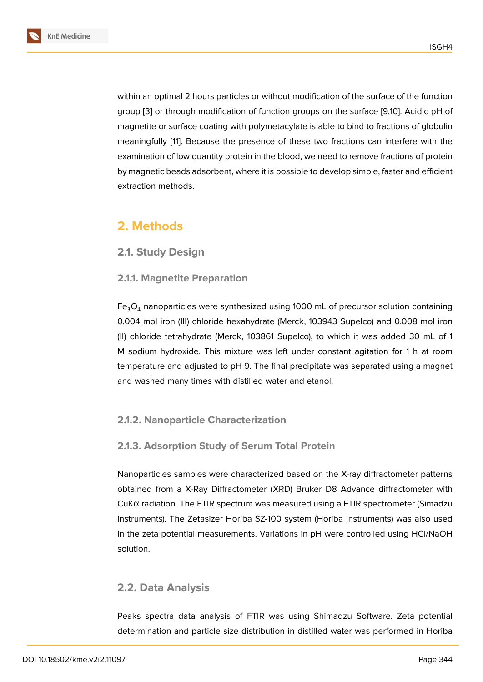within an optimal 2 hours particles or without modification of the surface of the function group [3] or through modification of function groups on the surface [9,10]. Acidic pH of magnetite or surface coating with polymetacylate is able to bind to fractions of globulin meaningfully [11]. Because the presence of these two fractions can interfere with the exami[na](#page-5-2)tion of low quantity protein in the blood, we need to remove fractions of protein by magnetic beads adsorbent, where it is possible to develop simple, faster and efficient extraction me[tho](#page-6-0)ds.

# **2. Methods**

## **2.1. Study Design**

## **2.1.1. Magnetite Preparation**

 $Fe<sub>3</sub>O<sub>4</sub>$  nanoparticles were synthesized using 1000 mL of precursor solution containing 0.004 mol iron (III) chloride hexahydrate (Merck, 103943 Supelco) and 0.008 mol iron (II) chloride tetrahydrate (Merck, 103861 Supelco), to which it was added 30 mL of 1 M sodium hydroxide. This mixture was left under constant agitation for 1 h at room temperature and adjusted to pH 9. The final precipitate was separated using a magnet and washed many times with distilled water and etanol.

## **2.1.2. Nanoparticle Characterization**

## **2.1.3. Adsorption Study of Serum Total Protein**

Nanoparticles samples were characterized based on the X-ray diffractometer patterns obtained from a X-Ray Diffractometer (XRD) Bruker D8 Advance diffractometer with CuKα radiation. The FTIR spectrum was measured using a FTIR spectrometer (Simadzu instruments). The Zetasizer Horiba SZ-100 system (Horiba Instruments) was also used in the zeta potential measurements. Variations in pH were controlled using HCl/NaOH solution.

## **2.2. Data Analysis**

Peaks spectra data analysis of FTIR was using Shimadzu Software. Zeta potential determination and particle size distribution in distilled water was performed in Horiba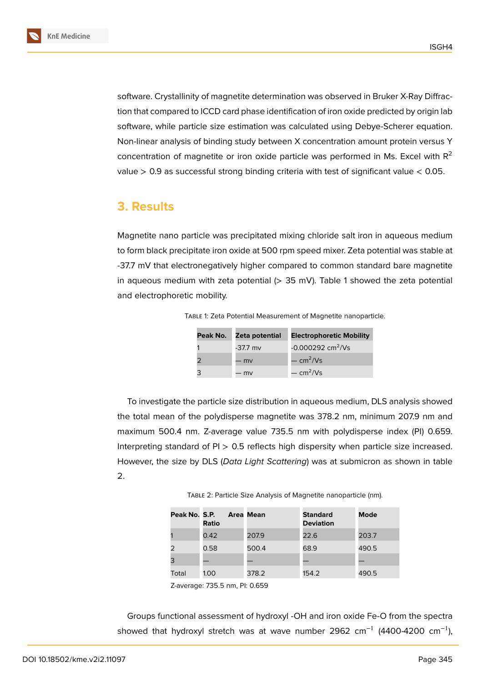software. Crystallinity of magnetite determination was observed in Bruker X-Ray Diffraction that compared to ICCD card phase identification of iron oxide predicted by origin lab software, while particle size estimation was calculated using Debye-Scherer equation. Non-linear analysis of binding study between X concentration amount protein versus Y concentration of magnetite or iron oxide particle was performed in Ms. Excel with  $R^2$ value  $> 0.9$  as successful strong binding criteria with test of significant value  $< 0.05$ .

## **3. Results**

Magnetite nano particle was precipitated mixing chloride salt iron in aqueous medium to form black precipitate iron oxide at 500 rpm speed mixer. Zeta potential was stable at -37.7 mV that electronegatively higher compared to common standard bare magnetite in aqueous medium with zeta potential  $(> 35 \text{ mV})$ . Table 1 showed the zeta potential and electrophoretic mobility.

| Peak No. | Zeta potential | <b>Electrophoretic Mobility</b> |
|----------|----------------|---------------------------------|
|          | -37.7 mv       | $-0.000292$ cm <sup>2</sup> /Vs |
|          | – mv           | $-\text{cm}^2/\text{Vs}$        |
|          | – mv           | $-$ cm <sup>2</sup> /Vs         |

Table 1: Zeta Potential Measurement of Magnetite nanoparticle.

To investigate the particle size distribution in aqueous medium, DLS analysis showed the total mean of the polydisperse magnetite was 378.2 nm, minimum 207.9 nm and maximum 500.4 nm. Z-average value 735.5 nm with polydisperse index (PI) 0.659. Interpreting standard of PI > 0.5 reflects high dispersity when particle size increased. However, the size by DLS (*Data Light Scattering*) was at submicron as shown in table 2.

Table 2: Particle Size Analysis of Magnetite nanoparticle (nm).

| Peak No. S.P. | <b>Ratio</b> | Area Mean | <b>Standard</b><br><b>Deviation</b> | Mode  |
|---------------|--------------|-----------|-------------------------------------|-------|
|               | 0.42         | 207.9     | 22.6                                | 203.7 |
|               | 0.58         | 500.4     | 68.9                                | 490.5 |
|               |              |           |                                     |       |
| Total         | 1.00         | 378.2     | 154.2                               | 490.5 |

Z-average: 735.5 nm, PI: 0.659

Groups functional assessment of hydroxyl -OH and iron oxide Fe-O from the spectra showed that hydroxyl stretch was at wave number 2962 cm<sup>-1</sup> (4400-4200 cm<sup>-1</sup>),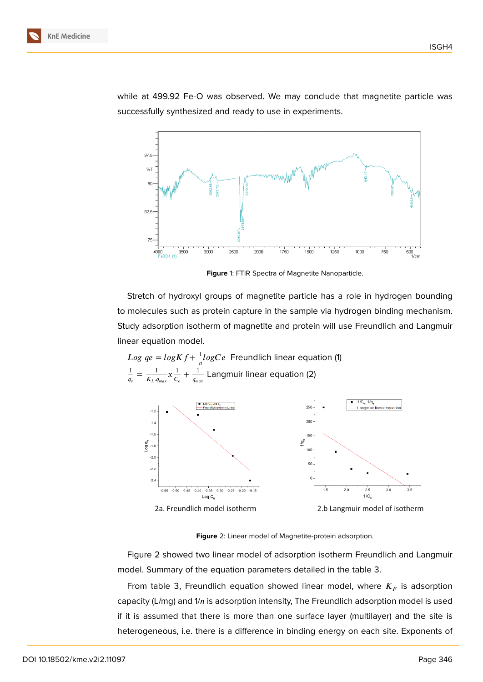while at 499.92 Fe-O was observed. We may conclude that magnetite particle was successfully synthesized and ready to use in experiments.



**Figure** 1: FTIR Spectra of Magnetite Nanoparticle.

Stretch of hydroxyl groups of magnetite particle has a role in hydrogen bounding to molecules such as protein capture in the sample via hydrogen binding mechanism. Study adsorption isotherm of magnetite and protein will use Freundlich and Langmuir linear equation model.



<span id="page-3-0"></span>**Figure** 2: Linear model of Magnetite-protein adsorption.

Figure 2 showed two linear model of adsorption isotherm Freundlich and Langmuir model. Summary of the equation parameters detailed in the table 3.

From table 3, Freundlich equation showed linear model, where  $K_F^{\vphantom{\dagger}}$  is adsorption capacity ([L/](#page-3-0)mg) and  $1/n$  is adsorption intensity, The Freundlich adsorption model is used if it is assumed that there is more than one surface layer (multilayer) and the site is heterogeneous, i.e. there is a difference in binding energy on each site. Exponents of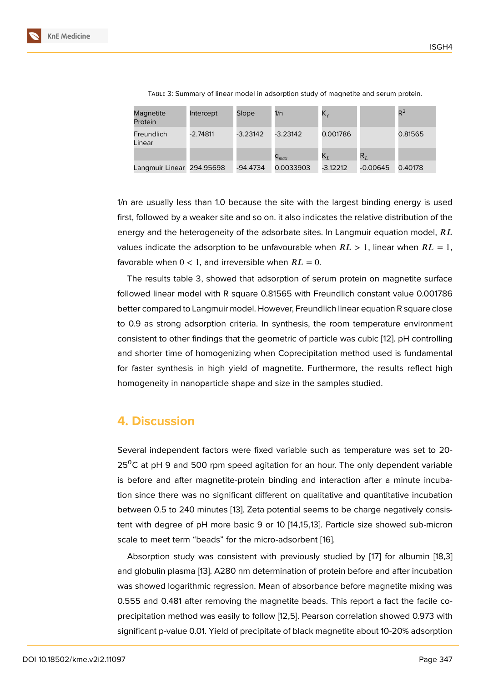Table 3: Summary of linear model in adsorption study of magnetite and serum protein.

| Magnetite<br>Protein      | Intercept  | Slope      | 1/n                         | $\mathsf{K}_f$ |            | $R^2$   |
|---------------------------|------------|------------|-----------------------------|----------------|------------|---------|
| Freundlich<br>Linear      | $-2.74811$ | $-3.23142$ | $-3.23142$                  | 0.001786       |            | 0.81565 |
|                           |            |            | $\mathsf{q}_{\textit{max}}$ | $\mathsf{K}_L$ | $R_L$      |         |
| Langmuir Linear 294.95698 |            | -94.4734   | 0.0033903                   | $-3.12212$     | $-0.00645$ | 0.40178 |

1/n are usually less than 1.0 because the site with the largest binding energy is used first, followed by a weaker site and so on. it also indicates the relative distribution of the energy and the heterogeneity of the adsorbate sites. In Langmuir equation model,  $RL$ values indicate the adsorption to be unfavourable when  $RL > 1$ , linear when  $RL = 1$ , favorable when  $0 < 1$ , and irreversible when  $RL = 0$ .

The results table 3, showed that adsorption of serum protein on magnetite surface followed linear model with R square 0.81565 with Freundlich constant value 0.001786 better compared to Langmuir model. However, Freundlich linear equation R square close to 0.9 as strong adsorption criteria. In synthesis, the room temperature environment consistent to other findings that the geometric of particle was cubic [12]. pH controlling and shorter time of homogenizing when Coprecipitation method used is fundamental for faster synthesis in high yield of magnetite. Furthermore, the results reflect high homogeneity in nanoparticle shape and size in the samples studied.

## **4. Discussion**

Several independent factors were fixed variable such as temperature was set to 20-  $25^{\circ}$ C at pH 9 and 500 rpm speed agitation for an hour. The only dependent variable is before and after magnetite-protein binding and interaction after a minute incubation since there was no significant different on qualitative and quantitative incubation between 0.5 to 240 minutes [13]. Zeta potential seems to be charge negatively consistent with degree of pH more basic 9 or 10 [14,15,13]. Particle size showed sub-micron scale to meet term "beads" for the micro-adsorbent [16].

Absorption study was con[sis](#page-6-1)tent with previously studied by [17] for albumin [18,3] and globulin plasma [13]. A280 nm determination of protein before and after incubation was showed logarithmic regression. Mean of absorb[anc](#page-6-2)e before magnetite mixing was 0.555 and 0.481 after removing the magnetite beads. This repor[t a](#page-6-3) fact the facile coprecipitation method [wa](#page-6-1)s easily to follow [12,5]. Pearson correlation showed 0.973 with significant p-value 0.01. Yield of precipitate of black magnetite about 10-20% adsorption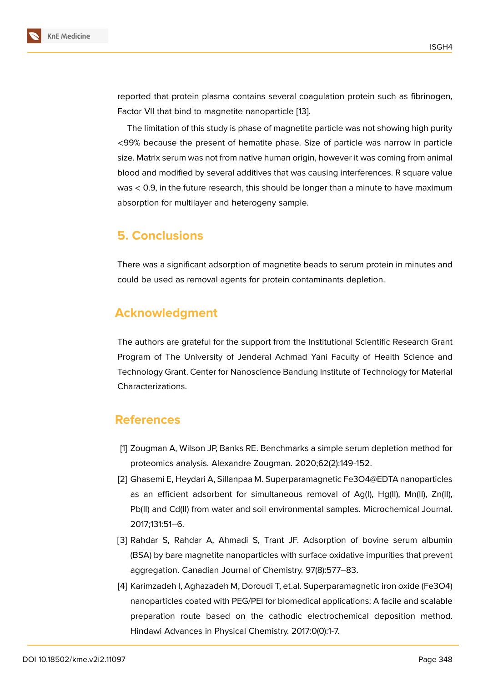reported that protein plasma contains several coagulation protein such as fibrinogen, Factor VII that bind to magnetite nanoparticle [13].

The limitation of this study is phase of magnetite particle was not showing high purity <99% because the present of hematite phase. Size of particle was narrow in particle size. Matrix serum was not from native human o[rig](#page-6-1)in, however it was coming from animal blood and modified by several additives that was causing interferences. R square value was < 0.9, in the future research, this should be longer than a minute to have maximum absorption for multilayer and heterogeny sample.

## **5. Conclusions**

There was a significant adsorption of magnetite beads to serum protein in minutes and could be used as removal agents for protein contaminants depletion.

# **Acknowledgment**

The authors are grateful for the support from the Institutional Scientific Research Grant Program of The University of Jenderal Achmad Yani Faculty of Health Science and Technology Grant. Center for Nanoscience Bandung Institute of Technology for Material Characterizations.

## **References**

- [1] Zougman A, Wilson JP, Banks RE. Benchmarks a simple serum depletion method for proteomics analysis. Alexandre Zougman. 2020;62(2):149-152.
- <span id="page-5-0"></span>[2] Ghasemi E, Heydari A, Sillanpaa M. Superparamagnetic Fe3O4@EDTA nanoparticles as an efficient adsorbent for simultaneous removal of Ag(I), Hg(II), Mn(II), Zn(II), Pb(II) and Cd(II) from water and soil environmental samples. Microchemical Journal. 2017;131:51–6.
- <span id="page-5-1"></span>[3] Rahdar S, Rahdar A, Ahmadi S, Trant JF. Adsorption of bovine serum albumin (BSA) by bare magnetite nanoparticles with surface oxidative impurities that prevent aggregation. Canadian Journal of Chemistry. 97(8):577–83.
- <span id="page-5-2"></span>[4] Karimzadeh I, Aghazadeh M, Doroudi T, et.al. Superparamagnetic iron oxide (Fe3O4) nanoparticles coated with PEG/PEI for biomedical applications: A facile and scalable preparation route based on the cathodic electrochemical deposition method. Hindawi Advances in Physical Chemistry. 2017:0(0):1-7.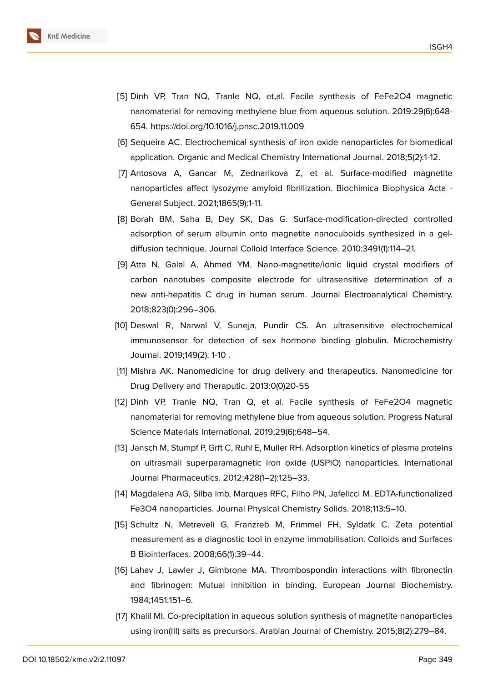

- [5] Dinh VP, Tran NQ, Tranle NQ, et,al. Facile synthesis of FeFe2O4 magnetic nanomaterial for removing methylene blue from aqueous solution. 2019:29(6):648- 654. https://doi.org/10.1016/j.pnsc.2019.11.009
	- [6] Sequeira AC. Electrochemical synthesis of iron oxide nanoparticles for biomedical application. Organic and Medical Chemistry International Journal. 2018;5(2):1-12.
	- [7] Antosova A, Gancar M, Zednarikova Z, et al. Surface-modified magnetite nanoparticles affect lysozyme amyloid fibrillization. Biochimica Biophysica Acta - General Subject. 2021;1865(9):1-11.
	- [8] Borah BM, Saha B, Dey SK, Das G. Surface-modification-directed controlled adsorption of serum albumin onto magnetite nanocuboids synthesized in a geldiffusion technique. Journal Colloid Interface Science. 2010;3491(1):114–21.
	- [9] Atta N, Galal A, Ahmed YM. Nano-magnetite/ionic liquid crystal modifiers of carbon nanotubes composite electrode for ultrasensitive determination of a new anti-hepatitis C drug in human serum. Journal Electroanalytical Chemistry. 2018;823(0):296–306.
- [10] Deswal R, Narwal V, Suneja, Pundir CS. An ultrasensitive electrochemical immunosensor for detection of sex hormone binding globulin. Microchemistry Journal. 2019;149(2): 1-10 .
- <span id="page-6-0"></span>[11] Mishra AK. Nanomedicine for drug delivery and therapeutics. Nanomedicine for Drug Delivery and Theraputic. 2013:0(0)20-55
- [12] Dinh VP, Tranle NQ, Tran Q, et al. Facile synthesis of FeFe2O4 magnetic nanomaterial for removing methylene blue from aqueous solution. Progress Natural Science Materials International. 2019;29(6):648–54.
- <span id="page-6-1"></span>[13] Jansch M, Stumpf P, Grft C, Ruhl E, Muller RH. Adsorption kinetics of plasma proteins on ultrasmall superparamagnetic iron oxide (USPIO) nanoparticles. International Journal Pharmaceutics. 2012;428(1–2):125–33.
- [14] Magdalena AG, Silba imb, Marques RFC, Filho PN, Jafelicci M. EDTA-functionalized Fe3O4 nanoparticles. Journal Physical Chemistry Solids. 2018;113:5–10.
- [15] Schultz N, Metreveli G, Franzreb M, Frimmel FH, Syldatk C. Zeta potential measurement as a diagnostic tool in enzyme immobilisation. Colloids and Surfaces B Biointerfaces. 2008;66(1):39–44.
- <span id="page-6-2"></span>[16] Lahav J, Lawler J, Gimbrone MA. Thrombospondin interactions with fibronectin and fibrinogen: Mutual inhibition in binding. European Journal Biochemistry. 1984;1451:151–6.
- <span id="page-6-3"></span>[17] Khalil MI. Co-precipitation in aqueous solution synthesis of magnetite nanoparticles using iron(III) salts as precursors. Arabian Journal of Chemistry. 2015;8(2):279–84.